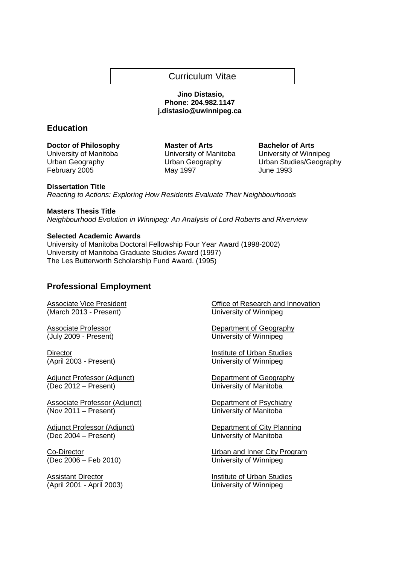# Curriculum Vitae

## **Jino Distasio, Phone: 204.982.1147 j.distasio@uwinnipeg.ca**

# **Education**

**Doctor of Philosophy Master of Arts Bachelor of Arts** University of Manitoba University of Manitoba University of Winnipeg February 2005 May 1997 May 1997

Urban Geography Urban Geography Urban Studies/Geography

## **Dissertation Title**

Reacting to Actions: Exploring How Residents Evaluate Their Neighbourhoods

**Masters Thesis Title** Neighbourhood Evolution in Winnipeg: An Analysis of Lord Roberts and Riverview

## **Selected Academic Awards**

University of Manitoba Doctoral Fellowship Four Year Award (1998-2002) University of Manitoba Graduate Studies Award (1997) The Les Butterworth Scholarship Fund Award. (1995)

# **Professional Employment**

(March 2013 - Present) University of Winnipeg

Adjunct Professor (Adjunct)<br>
(Dec 2012 – Present)<br>
University of Manitoba

Associate Professor (Adjunct) Department of Psychiatry (Nov 2011 – Present) University of Manitoba

(Dec 2004 – Present) University of Manitoba

(Dec 2006 – Feb 2010) University of Winnipeg

Assistant Director **Institute of Urban Studies** (April 2001 - April 2003) University of Winnipeg

Associate Vice President **Contract Contract Contract Contract Contract Contract Contract Contract Contract Contract Contract Contract Contract Contract Contract Contract Contract Contract Contract Contract Contract Contrac** 

Associate Professor Department of Geography (July 2009 - Present) University of Winnipeg

**Director Institute of Urban Studies** (April 2003 - Present) University of Winnipeg

University of Manitoba

Adjunct Professor (Adjunct) Department of City Planning

Co-Director Urban and Inner City Program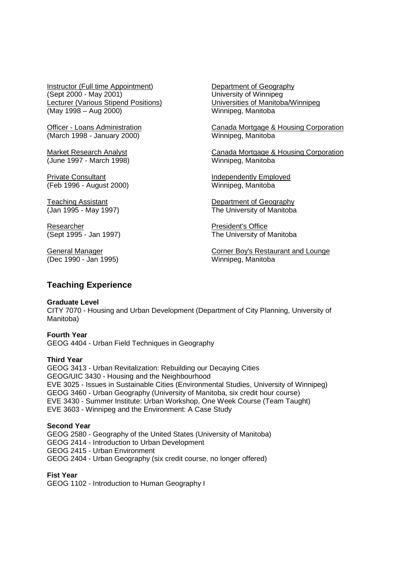Instructor (Full time Appointment) Department of Geography (Sept 2000 - May 2001) University of Winnipeg Lecturer (Various Stipend Positions) Universities of Manitoba/Winnipeg (May 1998 – Aug 2000) Winnipeg, Manitoba

(March 1998 - January 2000) Winnipeg, Manitoba

(June 1997 - March 1998) Winnipeg, Manitoba

Private Consultant **Independently Employed** (Feb 1996 - August 2000) Winnipeg, Manitoba

Researcher **President's Office** 

(Dec 1990 - Jan 1995) Winnipeg, Manitoba

Officer - Loans Administration Canada Mortgage & Housing Corporation

Market Research Analyst **Canada Mortgage & Housing Corporation** 

Teaching Assistant **Teaching Assistant** Department of Geography<br>
(Jan 1995 - May 1997) **The University of Manitoba** The University of Manitoba

(Sept 1995 - Jan 1997) The University of Manitoba

General Manager **Corner Boy's Restaurant and Lounge** 

# **Teaching Experience**

## **Graduate Level**

CITY 7070 - Housing and Urban Development (Department of City Planning, University of Manitoba)

**Fourth Year**  GEOG 4404 - Urban Field Techniques in Geography

## **Third Year**

GEOG 3413 - Urban Revitalization: Rebuilding our Decaying Cities GEOG/UIC 3430 - Housing and the Neighbourhood EVE 3025 - Issues in Sustainable Cities (Environmental Studies, University of Winnipeg) GEOG 3460 - Urban Geography (University of Manitoba, six credit hour course) EVE 3430 - Summer Institute: Urban Workshop, One Week Course (Team Taught) EVE 3603 - Winnipeg and the Environment: A Case Study

## **Second Year**

GEOG 2580 - Geography of the United States (University of Manitoba) GEOG 2414 - Introduction to Urban Development GEOG 2415 - Urban Environment GEOG 2404 - Urban Geography (six credit course, no longer offered)

# **Fist Year**

GEOG 1102 - Introduction to Human Geography I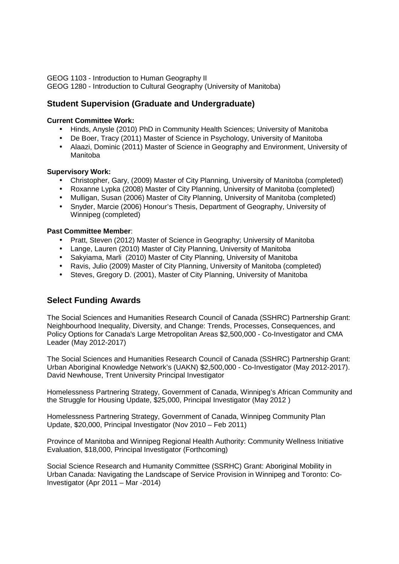GEOG 1103 - Introduction to Human Geography II GEOG 1280 - Introduction to Cultural Geography (University of Manitoba)

# **Student Supervision (Graduate and Undergraduate)**

## **Current Committee Work:**

- Hinds, Anysle (2010) PhD in Community Health Sciences; University of Manitoba
- De Boer, Tracy (2011) Master of Science in Psychology, University of Manitoba
- Alaazi, Dominic (2011) Master of Science in Geography and Environment, University of Manitoba

## **Supervisory Work:**

- Christopher, Gary, (2009) Master of City Planning, University of Manitoba (completed)
- Roxanne Lypka (2008) Master of City Planning, University of Manitoba (completed)
- Mulligan, Susan (2006) Master of City Planning, University of Manitoba (completed)
- Snyder, Marcie (2006) Honour's Thesis, Department of Geography, University of Winnipeg (completed)

## **Past Committee Member**:

- Pratt, Steven (2012) Master of Science in Geography; University of Manitoba
- Lange, Lauren (2010) Master of City Planning, University of Manitoba
- Sakyiama, Marli (2010) Master of City Planning, University of Manitoba
- Ravis, Julio (2009) Master of City Planning, University of Manitoba (completed)
- Steves, Gregory D. (2001), Master of City Planning, University of Manitoba

# **Select Funding Awards**

The Social Sciences and Humanities Research Council of Canada (SSHRC) Partnership Grant: Neighbourhood Inequality, Diversity, and Change: Trends, Processes, Consequences, and Policy Options for Canada's Large Metropolitan Areas \$2,500,000 - Co-Investigator and CMA Leader (May 2012-2017)

The Social Sciences and Humanities Research Council of Canada (SSHRC) Partnership Grant: Urban Aboriginal Knowledge Network's (UAKN) \$2,500,000 - Co-Investigator (May 2012-2017). David Newhouse, Trent University Principal Investigator

Homelessness Partnering Strategy, Government of Canada, Winnipeg's African Community and the Struggle for Housing Update, \$25,000, Principal Investigator (May 2012 )

Homelessness Partnering Strategy, Government of Canada, Winnipeg Community Plan Update, \$20,000, Principal Investigator (Nov 2010 – Feb 2011)

Province of Manitoba and Winnipeg Regional Health Authority: Community Wellness Initiative Evaluation, \$18,000, Principal Investigator (Forthcoming)

 Social Science Research and Humanity Committee (SSRHC) Grant: Aboriginal Mobility in Urban Canada: Navigating the Landscape of Service Provision in Winnipeg and Toronto: Co-Investigator (Apr 2011 – Mar -2014)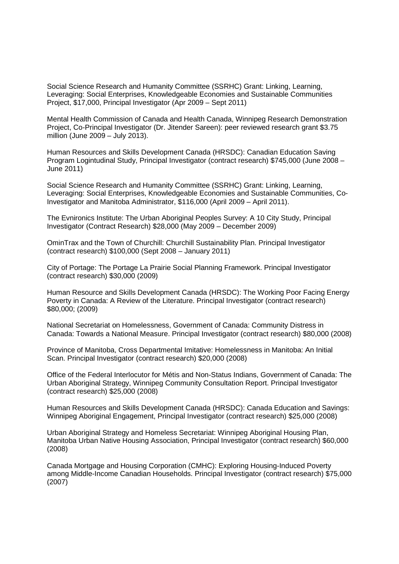Social Science Research and Humanity Committee (SSRHC) Grant: Linking, Learning, Leveraging: Social Enterprises, Knowledgeable Economies and Sustainable Communities Project, \$17,000, Principal Investigator (Apr 2009 – Sept 2011)

Mental Health Commission of Canada and Health Canada, Winnipeg Research Demonstration Project, Co-Principal Investigator (Dr. Jitender Sareen): peer reviewed research grant \$3.75 million (June 2009 – July 2013).

Human Resources and Skills Development Canada (HRSDC): Canadian Education Saving Program Logintudinal Study, Principal Investigator (contract research) \$745,000 (June 2008 – June 2011)

Social Science Research and Humanity Committee (SSRHC) Grant: Linking, Learning, Leveraging: Social Enterprises, Knowledgeable Economies and Sustainable Communities, Co-Investigator and Manitoba Administrator, \$116,000 (April 2009 – April 2011).

The Evnironics Institute: The Urban Aboriginal Peoples Survey: A 10 City Study, Principal Investigator (Contract Research) \$28,000 (May 2009 – December 2009)

OminTrax and the Town of Churchill: Churchill Sustainability Plan. Principal Investigator (contract research) \$100,000 (Sept 2008 – January 2011)

City of Portage: The Portage La Prairie Social Planning Framework. Principal Investigator (contract research) \$30,000 (2009)

Human Resource and Skills Development Canada (HRSDC): The Working Poor Facing Energy Poverty in Canada: A Review of the Literature. Principal Investigator (contract research) \$80,000; (2009)

National Secretariat on Homelessness, Government of Canada: Community Distress in Canada: Towards a National Measure. Principal Investigator (contract research) \$80,000 (2008)

Province of Manitoba, Cross Departmental Imitative: Homelessness in Manitoba: An Initial Scan. Principal Investigator (contract research) \$20,000 (2008)

Office of the Federal Interlocutor for Métis and Non-Status Indians, Government of Canada: The Urban Aboriginal Strategy, Winnipeg Community Consultation Report. Principal Investigator (contract research) \$25,000 (2008)

Human Resources and Skills Development Canada (HRSDC): Canada Education and Savings: Winnipeg Aboriginal Engagement, Principal Investigator (contract research) \$25,000 (2008)

Urban Aboriginal Strategy and Homeless Secretariat: Winnipeg Aboriginal Housing Plan, Manitoba Urban Native Housing Association, Principal Investigator (contract research) \$60,000 (2008)

Canada Mortgage and Housing Corporation (CMHC): Exploring Housing-Induced Poverty among Middle-Income Canadian Households. Principal Investigator (contract research) \$75,000 (2007)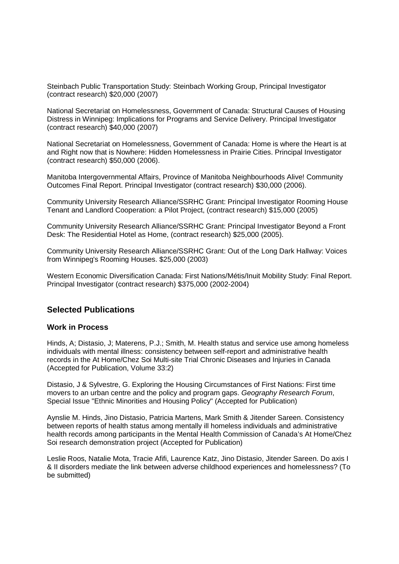Steinbach Public Transportation Study: Steinbach Working Group, Principal Investigator (contract research) \$20,000 (2007)

National Secretariat on Homelessness, Government of Canada: Structural Causes of Housing Distress in Winnipeg: Implications for Programs and Service Delivery. Principal Investigator (contract research) \$40,000 (2007)

National Secretariat on Homelessness, Government of Canada: Home is where the Heart is at and Right now that is Nowhere: Hidden Homelessness in Prairie Cities. Principal Investigator (contract research) \$50,000 (2006).

Manitoba Intergovernmental Affairs, Province of Manitoba Neighbourhoods Alive! Community Outcomes Final Report. Principal Investigator (contract research) \$30,000 (2006).

Community University Research Alliance/SSRHC Grant: Principal Investigator Rooming House Tenant and Landlord Cooperation: a Pilot Project, (contract research) \$15,000 (2005)

Community University Research Alliance/SSRHC Grant: Principal Investigator Beyond a Front Desk: The Residential Hotel as Home, (contract research) \$25,000 (2005).

Community University Research Alliance/SSRHC Grant: Out of the Long Dark Hallway: Voices from Winnipeg's Rooming Houses. \$25,000 (2003)

Western Economic Diversification Canada: First Nations/Métis/Inuit Mobility Study: Final Report. Principal Investigator (contract research) \$375,000 (2002-2004)

# **Selected Publications**

## **Work in Process**

Hinds, A; Distasio, J; Materens, P.J.; Smith, M. Health status and service use among homeless individuals with mental illness: consistency between self-report and administrative health records in the At Home/Chez Soi Multi-site Trial Chronic Diseases and Injuries in Canada (Accepted for Publication, Volume 33:2)

Distasio, J & Sylvestre, G. Exploring the Housing Circumstances of First Nations: First time movers to an urban centre and the policy and program gaps. Geography Research Forum, Special Issue "Ethnic Minorities and Housing Policy" (Accepted for Publication)

Aynslie M. Hinds, Jino Distasio, Patricia Martens, Mark Smith & Jitender Sareen. Consistency between reports of health status among mentally ill homeless individuals and administrative health records among participants in the Mental Health Commission of Canada's At Home/Chez Soi research demonstration project (Accepted for Publication)

Leslie Roos, Natalie Mota, Tracie Afifi, Laurence Katz, Jino Distasio, Jitender Sareen. Do axis I & II disorders mediate the link between adverse childhood experiences and homelessness? (To be submitted)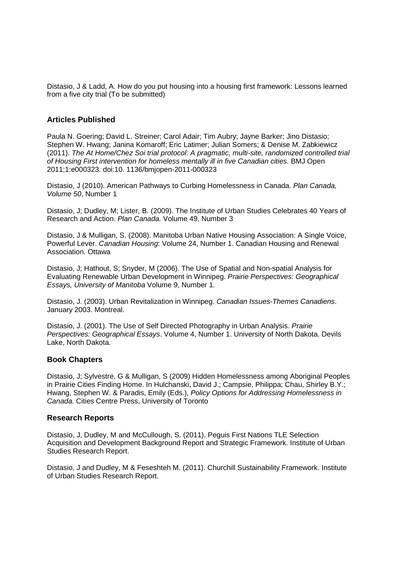Distasio, J & Ladd, A. How do you put housing into a housing first framework: Lessons learned from a five city trial (To be submitted)

## **Articles Published**

Paula N. Goering; David L. Streiner; Carol Adair; Tim Aubry; Jayne Barker; Jino Distasio; Stephen W. Hwang; Janina Komaroff; Eric Latimer; Julian Somers; & Denise M. Zabkiewicz (2011). The At Home/Chez Soi trial protocol: A pragmatic, multi-site, randomized controlled trial of Housing First intervention for homeless mentally ill in five Canadian cities. BMJ Open 2011;1:e000323. doi:10. 1136/bmjopen-2011-000323

Distasio, J (2010). American Pathways to Curbing Homelessness in Canada. Plan Canada, Volume 50, Number 1

Distasio, J; Dudley, M; Lister, B. (2009). The Institute of Urban Studies Celebrates 40 Years of Research and Action. Plan Canada. Volume 49, Number 3

Distasio, J & Mulligan, S. (2008). Manitoba Urban Native Housing Association: A Single Voice, Powerful Lever. Canadian Housing: Volume 24, Number 1. Canadian Housing and Renewal Association. Ottawa

Distasio, J; Hathout, S; Snyder, M (2006). The Use of Spatial and Non-spatial Analysis for Evaluating Renewable Urban Development in Winnipeg. Prairie Perspectives: Geographical Essays, University of Manitoba Volume 9, Number 1.

Distasio, J. (2003). Urban Revitalization in Winnipeg. Canadian Issues-Themes Canadiens. January 2003. Montreal.

Distasio, J. (2001). The Use of Self Directed Photography in Urban Analysis. Prairie Perspectives: Geographical Essays. Volume 4, Number 1. University of North Dakota. Devils Lake, North Dakota.

## **Book Chapters**

Distasio, J; Sylvestre, G & Mulligan, S (2009) Hidden Homelessness among Aboriginal Peoples in Prairie Cities Finding Home. In Hulchanski, David J.; Campsie, Philippa; Chau, Shirley B.Y.; Hwang, Stephen W. & Paradis, Emily (Eds.), Policy Options for Addressing Homelessness in Canada. Cities Centre Press, University of Toronto

## **Research Reports**

Distasio, J, Dudley, M and McCullough, S. (2011). Peguis First Nations TLE Selection Acquisition and Development Background Report and Strategic Framework. Institute of Urban Studies Research Report.

Distasio, J and Dudley, M & Feseshteh M. (2011). Churchill Sustainability Framework. Institute of Urban Studies Research Report.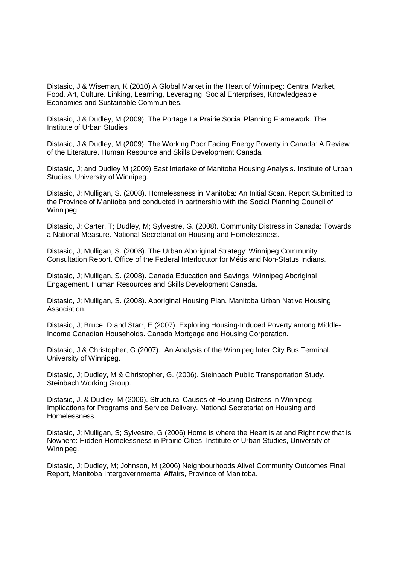Distasio, J & Wiseman, K (2010) A Global Market in the Heart of Winnipeg: Central Market, Food, Art, Culture. Linking, Learning, Leveraging: Social Enterprises, Knowledgeable Economies and Sustainable Communities.

Distasio, J & Dudley, M (2009). The Portage La Prairie Social Planning Framework. The Institute of Urban Studies

Distasio, J & Dudley, M (2009). The Working Poor Facing Energy Poverty in Canada: A Review of the Literature. Human Resource and Skills Development Canada

Distasio, J; and Dudley M (2009) East Interlake of Manitoba Housing Analysis. Institute of Urban Studies, University of Winnipeg.

Distasio, J; Mulligan, S. (2008). Homelessness in Manitoba: An Initial Scan. Report Submitted to the Province of Manitoba and conducted in partnership with the Social Planning Council of Winnipeg.

Distasio, J; Carter, T; Dudley, M; Sylvestre, G. (2008). Community Distress in Canada: Towards a National Measure. National Secretariat on Housing and Homelessness.

Distasio, J; Mulligan, S. (2008). The Urban Aboriginal Strategy: Winnipeg Community Consultation Report. Office of the Federal Interlocutor for Métis and Non-Status Indians.

Distasio, J; Mulligan, S. (2008). Canada Education and Savings: Winnipeg Aboriginal Engagement. Human Resources and Skills Development Canada.

Distasio, J; Mulligan, S. (2008). Aboriginal Housing Plan. Manitoba Urban Native Housing Association.

Distasio, J; Bruce, D and Starr, E (2007). Exploring Housing-Induced Poverty among Middle-Income Canadian Households. Canada Mortgage and Housing Corporation.

Distasio, J & Christopher, G (2007). An Analysis of the Winnipeg Inter City Bus Terminal. University of Winnipeg.

Distasio, J; Dudley, M & Christopher, G. (2006). Steinbach Public Transportation Study. Steinbach Working Group.

Distasio, J. & Dudley, M (2006). Structural Causes of Housing Distress in Winnipeg: Implications for Programs and Service Delivery. National Secretariat on Housing and Homelessness.

Distasio, J; Mulligan, S; Sylvestre, G (2006) Home is where the Heart is at and Right now that is Nowhere: Hidden Homelessness in Prairie Cities. Institute of Urban Studies, University of Winnipeg.

Distasio, J; Dudley, M; Johnson, M (2006) Neighbourhoods Alive! Community Outcomes Final Report, Manitoba Intergovernmental Affairs, Province of Manitoba.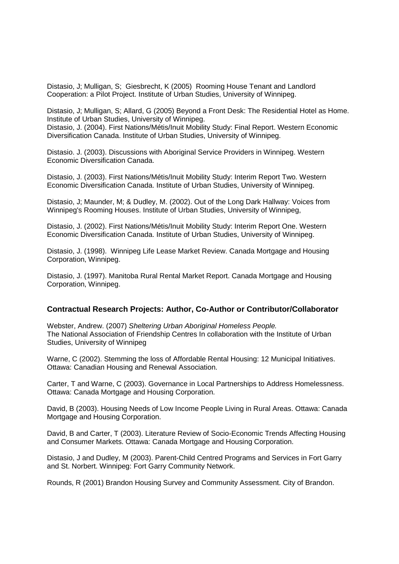Distasio, J; Mulligan, S; Giesbrecht, K (2005) Rooming House Tenant and Landlord Cooperation: a Pilot Project. Institute of Urban Studies, University of Winnipeg.

Distasio, J; Mulligan, S; Allard, G (2005) Beyond a Front Desk: The Residential Hotel as Home. Institute of Urban Studies, University of Winnipeg. Distasio, J. (2004). First Nations/Métis/Inuit Mobility Study: Final Report. Western Economic Diversification Canada. Institute of Urban Studies, University of Winnipeg.

Distasio. J. (2003). Discussions with Aboriginal Service Providers in Winnipeg. Western Economic Diversification Canada.

Distasio, J. (2003). First Nations/Métis/Inuit Mobility Study: Interim Report Two. Western Economic Diversification Canada. Institute of Urban Studies, University of Winnipeg.

Distasio, J; Maunder, M; & Dudley, M. (2002). Out of the Long Dark Hallway: Voices from Winnipeg's Rooming Houses. Institute of Urban Studies, University of Winnipeg,

Distasio, J. (2002). First Nations/Métis/Inuit Mobility Study: Interim Report One. Western Economic Diversification Canada. Institute of Urban Studies, University of Winnipeg.

Distasio, J. (1998). Winnipeg Life Lease Market Review. Canada Mortgage and Housing Corporation, Winnipeg.

Distasio, J. (1997). Manitoba Rural Rental Market Report. Canada Mortgage and Housing Corporation, Winnipeg.

#### **Contractual Research Projects: Author, Co-Author or Contributor/Collaborator**

Webster, Andrew. (2007) Sheltering Urban Aboriginal Homeless People. The National Association of Friendship Centres In collaboration with the Institute of Urban Studies, University of Winnipeg

Warne, C (2002). Stemming the loss of Affordable Rental Housing: 12 Municipal Initiatives. Ottawa: Canadian Housing and Renewal Association.

Carter, T and Warne, C (2003). Governance in Local Partnerships to Address Homelessness. Ottawa: Canada Mortgage and Housing Corporation.

David, B (2003). Housing Needs of Low Income People Living in Rural Areas. Ottawa: Canada Mortgage and Housing Corporation.

David, B and Carter, T (2003). Literature Review of Socio-Economic Trends Affecting Housing and Consumer Markets. Ottawa: Canada Mortgage and Housing Corporation.

Distasio, J and Dudley, M (2003). Parent-Child Centred Programs and Services in Fort Garry and St. Norbert. Winnipeg: Fort Garry Community Network.

Rounds, R (2001) Brandon Housing Survey and Community Assessment. City of Brandon.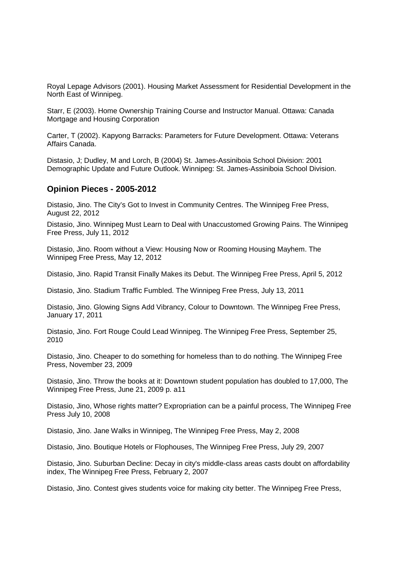Royal Lepage Advisors (2001). Housing Market Assessment for Residential Development in the North East of Winnipeg.

Starr, E (2003). Home Ownership Training Course and Instructor Manual. Ottawa: Canada Mortgage and Housing Corporation

Carter, T (2002). Kapyong Barracks: Parameters for Future Development. Ottawa: Veterans Affairs Canada.

Distasio, J; Dudley, M and Lorch, B (2004) St. James-Assiniboia School Division: 2001 Demographic Update and Future Outlook. Winnipeg: St. James-Assiniboia School Division.

## **Opinion Pieces - 2005-2012**

Distasio, Jino. The City's Got to Invest in Community Centres. The Winnipeg Free Press, August 22, 2012

Distasio, Jino. Winnipeg Must Learn to Deal with Unaccustomed Growing Pains. The Winnipeg Free Press, July 11, 2012

Distasio, Jino. Room without a View: Housing Now or Rooming Housing Mayhem. The Winnipeg Free Press, May 12, 2012

Distasio, Jino. Rapid Transit Finally Makes its Debut. The Winnipeg Free Press, April 5, 2012

Distasio, Jino. Stadium Traffic Fumbled. The Winnipeg Free Press, July 13, 2011

Distasio, Jino. Glowing Signs Add Vibrancy, Colour to Downtown. The Winnipeg Free Press, January 17, 2011

Distasio, Jino. Fort Rouge Could Lead Winnipeg. The Winnipeg Free Press, September 25, 2010

Distasio, Jino. Cheaper to do something for homeless than to do nothing. The Winnipeg Free Press, November 23, 2009

Distasio, Jino. Throw the books at it: Downtown student population has doubled to 17,000, The Winnipeg Free Press, June 21, 2009 p. a11

Distasio, Jino, Whose rights matter? Expropriation can be a painful process, The Winnipeg Free Press July 10, 2008

Distasio, Jino. Jane Walks in Winnipeg, The Winnipeg Free Press, May 2, 2008

Distasio, Jino. Boutique Hotels or Flophouses, The Winnipeg Free Press, July 29, 2007

Distasio, Jino. Suburban Decline: Decay in city's middle-class areas casts doubt on affordability index, The Winnipeg Free Press, February 2, 2007

Distasio, Jino. Contest gives students voice for making city better. The Winnipeg Free Press,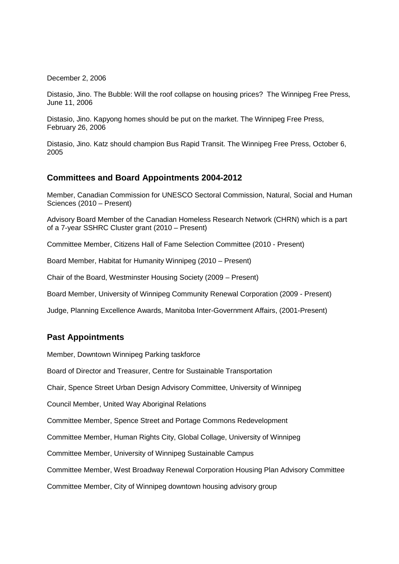December 2, 2006

Distasio, Jino. The Bubble: Will the roof collapse on housing prices? The Winnipeg Free Press, June 11, 2006

Distasio, Jino. Kapyong homes should be put on the market. The Winnipeg Free Press, February 26, 2006

Distasio, Jino. Katz should champion Bus Rapid Transit. The Winnipeg Free Press, October 6, 2005

# **Committees and Board Appointments 2004-2012**

Member, Canadian Commission for UNESCO Sectoral Commission, Natural, Social and Human Sciences (2010 – Present)

Advisory Board Member of the Canadian Homeless Research Network (CHRN) which is a part of a 7-year SSHRC Cluster grant (2010 – Present)

Committee Member, Citizens Hall of Fame Selection Committee (2010 - Present)

Board Member, Habitat for Humanity Winnipeg (2010 – Present)

Chair of the Board, Westminster Housing Society (2009 – Present)

Board Member, University of Winnipeg Community Renewal Corporation (2009 - Present)

Judge, Planning Excellence Awards, Manitoba Inter-Government Affairs, (2001-Present)

# **Past Appointments**

Member, Downtown Winnipeg Parking taskforce

Board of Director and Treasurer, Centre for Sustainable Transportation

Chair, Spence Street Urban Design Advisory Committee, University of Winnipeg

Council Member, United Way Aboriginal Relations

Committee Member, Spence Street and Portage Commons Redevelopment

Committee Member, Human Rights City, Global Collage, University of Winnipeg

Committee Member, University of Winnipeg Sustainable Campus

Committee Member, West Broadway Renewal Corporation Housing Plan Advisory Committee

Committee Member, City of Winnipeg downtown housing advisory group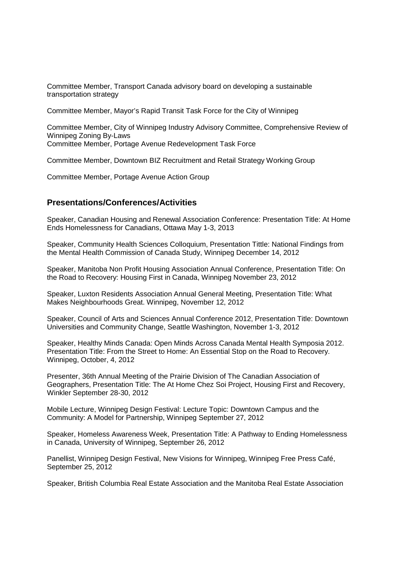Committee Member, Transport Canada advisory board on developing a sustainable transportation strategy

Committee Member, Mayor's Rapid Transit Task Force for the City of Winnipeg

Committee Member, City of Winnipeg Industry Advisory Committee, Comprehensive Review of Winnipeg Zoning By-Laws Committee Member, Portage Avenue Redevelopment Task Force

Committee Member, Downtown BIZ Recruitment and Retail Strategy Working Group

Committee Member, Portage Avenue Action Group

# **Presentations/Conferences/Activities**

Speaker, Canadian Housing and Renewal Association Conference: Presentation Title: At Home Ends Homelessness for Canadians, Ottawa May 1-3, 2013

Speaker, Community Health Sciences Colloquium, Presentation Tittle: National Findings from the Mental Health Commission of Canada Study, Winnipeg December 14, 2012

Speaker, Manitoba Non Profit Housing Association Annual Conference, Presentation Title: On the Road to Recovery: Housing First in Canada, Winnipeg November 23, 2012

Speaker, Luxton Residents Association Annual General Meeting, Presentation Title: What Makes Neighbourhoods Great. Winnipeg, November 12, 2012

Speaker, Council of Arts and Sciences Annual Conference 2012, Presentation Title: Downtown Universities and Community Change, Seattle Washington, November 1-3, 2012

Speaker, Healthy Minds Canada: Open Minds Across Canada Mental Health Symposia 2012. Presentation Title: From the Street to Home: An Essential Stop on the Road to Recovery. Winnipeg, October, 4, 2012

Presenter, 36th Annual Meeting of the Prairie Division of The Canadian Association of Geographers, Presentation Title: The At Home Chez Soi Project, Housing First and Recovery, Winkler September 28-30, 2012

Mobile Lecture, Winnipeg Design Festival: Lecture Topic: Downtown Campus and the Community: A Model for Partnership, Winnipeg September 27, 2012

Speaker, Homeless Awareness Week, Presentation Title: A Pathway to Ending Homelessness in Canada, University of Winnipeg, September 26, 2012

Panellist, Winnipeg Design Festival, New Visions for Winnipeg, Winnipeg Free Press Café, September 25, 2012

Speaker, British Columbia Real Estate Association and the Manitoba Real Estate Association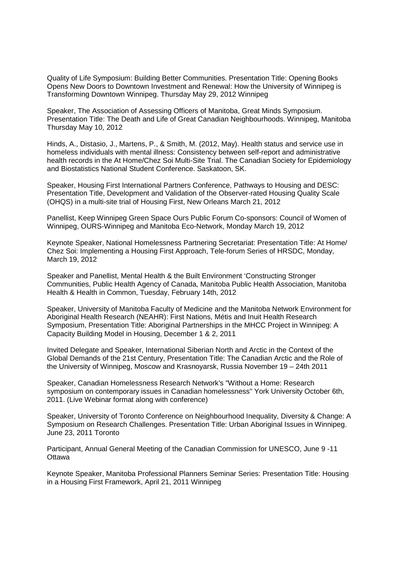Quality of Life Symposium: Building Better Communities. Presentation Title: Opening Books Opens New Doors to Downtown Investment and Renewal: How the University of Winnipeg is Transforming Downtown Winnipeg. Thursday May 29, 2012 Winnipeg

Speaker, The Association of Assessing Officers of Manitoba, Great Minds Symposium. Presentation Title: The Death and Life of Great Canadian Neighbourhoods. Winnipeg, Manitoba Thursday May 10, 2012

Hinds, A., Distasio, J., Martens, P., & Smith, M. (2012, May). Health status and service use in homeless individuals with mental illness: Consistency between self-report and administrative health records in the At Home/Chez Soi Multi-Site Trial. The Canadian Society for Epidemiology and Biostatistics National Student Conference. Saskatoon, SK.

Speaker, Housing First International Partners Conference, Pathways to Housing and DESC: Presentation Title, Development and Validation of the Observer-rated Housing Quality Scale (OHQS) in a multi-site trial of Housing First, New Orleans March 21, 2012

Panellist, Keep Winnipeg Green Space Ours Public Forum Co-sponsors: Council of Women of Winnipeg, OURS-Winnipeg and Manitoba Eco-Network, Monday March 19, 2012

Keynote Speaker, National Homelessness Partnering Secretariat: Presentation Title: At Home/ Chez Soi: Implementing a Housing First Approach, Tele-forum Series of HRSDC, Monday, March 19, 2012

Speaker and Panellist, Mental Health & the Built Environment 'Constructing Stronger Communities, Public Health Agency of Canada, Manitoba Public Health Association, Manitoba Health & Health in Common, Tuesday, February 14th, 2012

Speaker, University of Manitoba Faculty of Medicine and the Manitoba Network Environment for Aboriginal Health Research (NEAHR): First Nations, Métis and Inuit Health Research Symposium, Presentation Title: Aboriginal Partnerships in the MHCC Project in Winnipeg: A Capacity Building Model in Housing, December 1 & 2, 2011

Invited Delegate and Speaker, International Siberian North and Arctic in the Context of the Global Demands of the 21st Century, Presentation Title: The Canadian Arctic and the Role of the University of Winnipeg, Moscow and Krasnoyarsk, Russia November 19 – 24th 2011

Speaker, Canadian Homelessness Research Network's "Without a Home: Research symposium on contemporary issues in Canadian homelessness" York University October 6th, 2011. (Live Webinar format along with conference)

Speaker, University of Toronto Conference on Neighbourhood Inequality, Diversity & Change: A Symposium on Research Challenges. Presentation Title: Urban Aboriginal Issues in Winnipeg. June 23, 2011 Toronto

Participant, Annual General Meeting of the Canadian Commission for UNESCO, June 9 -11 **Ottawa** 

Keynote Speaker, Manitoba Professional Planners Seminar Series: Presentation Title: Housing in a Housing First Framework, April 21, 2011 Winnipeg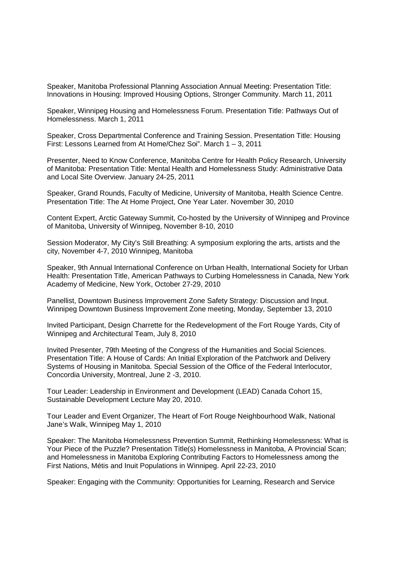Speaker, Manitoba Professional Planning Association Annual Meeting: Presentation Title: Innovations in Housing: Improved Housing Options, Stronger Community. March 11, 2011

Speaker, Winnipeg Housing and Homelessness Forum. Presentation Title: Pathways Out of Homelessness. March 1, 2011

Speaker, Cross Departmental Conference and Training Session. Presentation Title: Housing First: Lessons Learned from At Home/Chez Soi". March 1 – 3, 2011

Presenter, Need to Know Conference, Manitoba Centre for Health Policy Research, University of Manitoba: Presentation Title: Mental Health and Homelessness Study: Administrative Data and Local Site Overview. January 24-25, 2011

Speaker, Grand Rounds, Faculty of Medicine, University of Manitoba, Health Science Centre. Presentation Title: The At Home Project, One Year Later. November 30, 2010

Content Expert, Arctic Gateway Summit, Co-hosted by the University of Winnipeg and Province of Manitoba, University of Winnipeg, November 8-10, 2010

Session Moderator, My City's Still Breathing: A symposium exploring the arts, artists and the city, November 4-7, 2010 Winnipeg, Manitoba

Speaker, 9th Annual International Conference on Urban Health, International Society for Urban Health: Presentation Title, American Pathways to Curbing Homelessness in Canada, New York Academy of Medicine, New York, October 27-29, 2010

Panellist, Downtown Business Improvement Zone Safety Strategy: Discussion and Input. Winnipeg Downtown Business Improvement Zone meeting, Monday, September 13, 2010

Invited Participant, Design Charrette for the Redevelopment of the Fort Rouge Yards, City of Winnipeg and Architectural Team, July 8, 2010

Invited Presenter, 79th Meeting of the Congress of the Humanities and Social Sciences. Presentation Title: A House of Cards: An Initial Exploration of the Patchwork and Delivery Systems of Housing in Manitoba. Special Session of the Office of the Federal Interlocutor, Concordia University, Montreal, June 2 -3, 2010.

Tour Leader: Leadership in Environment and Development (LEAD) Canada Cohort 15, Sustainable Development Lecture May 20, 2010.

Tour Leader and Event Organizer, The Heart of Fort Rouge Neighbourhood Walk, National Jane's Walk, Winnipeg May 1, 2010

Speaker: The Manitoba Homelessness Prevention Summit, Rethinking Homelessness: What is Your Piece of the Puzzle? Presentation Title(s) Homelessness in Manitoba, A Provincial Scan; and Homelessness in Manitoba Exploring Contributing Factors to Homelessness among the First Nations, Métis and Inuit Populations in Winnipeg. April 22-23, 2010

Speaker: Engaging with the Community: Opportunities for Learning, Research and Service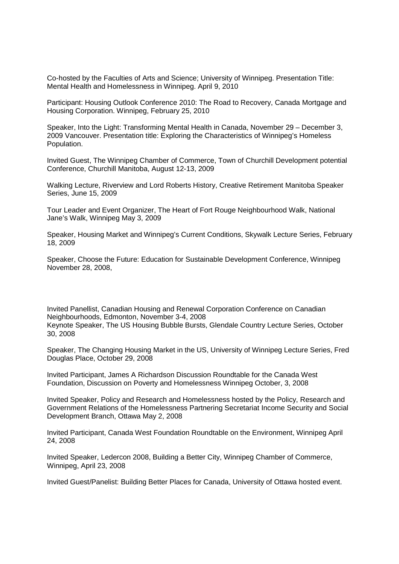Co-hosted by the Faculties of Arts and Science; University of Winnipeg. Presentation Title: Mental Health and Homelessness in Winnipeg. April 9, 2010

Participant: Housing Outlook Conference 2010: The Road to Recovery, Canada Mortgage and Housing Corporation. Winnipeg, February 25, 2010

Speaker, Into the Light: Transforming Mental Health in Canada, November 29 – December 3, 2009 Vancouver. Presentation title: Exploring the Characteristics of Winnipeg's Homeless Population.

Invited Guest, The Winnipeg Chamber of Commerce, Town of Churchill Development potential Conference, Churchill Manitoba, August 12-13, 2009

Walking Lecture, Riverview and Lord Roberts History, Creative Retirement Manitoba Speaker Series, June 15, 2009

Tour Leader and Event Organizer, The Heart of Fort Rouge Neighbourhood Walk, National Jane's Walk, Winnipeg May 3, 2009

Speaker, Housing Market and Winnipeg's Current Conditions, Skywalk Lecture Series, February 18, 2009

Speaker, Choose the Future: Education for Sustainable Development Conference, Winnipeg November 28, 2008,

Invited Panellist, Canadian Housing and Renewal Corporation Conference on Canadian Neighbourhoods, Edmonton, November 3-4, 2008 Keynote Speaker, The US Housing Bubble Bursts, Glendale Country Lecture Series, October 30, 2008

Speaker, The Changing Housing Market in the US, University of Winnipeg Lecture Series, Fred Douglas Place, October 29, 2008

Invited Participant, James A Richardson Discussion Roundtable for the Canada West Foundation, Discussion on Poverty and Homelessness Winnipeg October, 3, 2008

Invited Speaker, Policy and Research and Homelessness hosted by the Policy, Research and Government Relations of the Homelessness Partnering Secretariat Income Security and Social Development Branch, Ottawa May 2, 2008

Invited Participant, Canada West Foundation Roundtable on the Environment, Winnipeg April 24, 2008

Invited Speaker, Ledercon 2008, Building a Better City, Winnipeg Chamber of Commerce, Winnipeg, April 23, 2008

Invited Guest/Panelist: Building Better Places for Canada, University of Ottawa hosted event.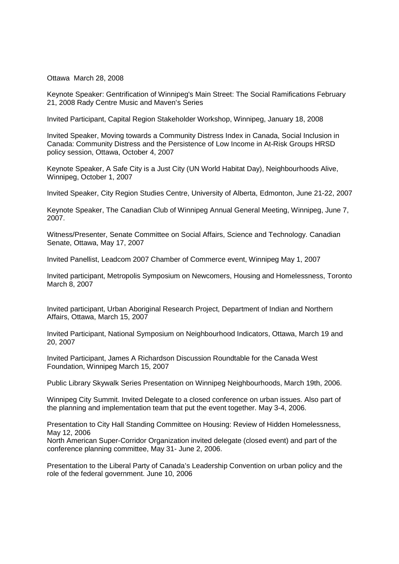Ottawa March 28, 2008

Keynote Speaker: Gentrification of Winnipeg's Main Street: The Social Ramifications February 21, 2008 Rady Centre Music and Maven's Series

Invited Participant, Capital Region Stakeholder Workshop, Winnipeg, January 18, 2008

Invited Speaker, Moving towards a Community Distress Index in Canada, Social Inclusion in Canada: Community Distress and the Persistence of Low Income in At-Risk Groups HRSD policy session, Ottawa, October 4, 2007

Keynote Speaker, A Safe City is a Just City (UN World Habitat Day), Neighbourhoods Alive, Winnipeg, October 1, 2007

Invited Speaker, City Region Studies Centre, University of Alberta, Edmonton, June 21-22, 2007

Keynote Speaker, The Canadian Club of Winnipeg Annual General Meeting, Winnipeg, June 7, 2007.

Witness/Presenter, Senate Committee on Social Affairs, Science and Technology. Canadian Senate, Ottawa, May 17, 2007

Invited Panellist, Leadcom 2007 Chamber of Commerce event, Winnipeg May 1, 2007

Invited participant, Metropolis Symposium on Newcomers, Housing and Homelessness, Toronto March 8, 2007

Invited participant, Urban Aboriginal Research Project, Department of Indian and Northern Affairs, Ottawa, March 15, 2007

Invited Participant, National Symposium on Neighbourhood Indicators, Ottawa, March 19 and 20, 2007

Invited Participant, James A Richardson Discussion Roundtable for the Canada West Foundation, Winnipeg March 15, 2007

Public Library Skywalk Series Presentation on Winnipeg Neighbourhoods, March 19th, 2006.

Winnipeg City Summit. Invited Delegate to a closed conference on urban issues. Also part of the planning and implementation team that put the event together. May 3-4, 2006.

Presentation to City Hall Standing Committee on Housing: Review of Hidden Homelessness, May 12, 2006

North American Super-Corridor Organization invited delegate (closed event) and part of the conference planning committee, May 31- June 2, 2006.

Presentation to the Liberal Party of Canada's Leadership Convention on urban policy and the role of the federal government. June 10, 2006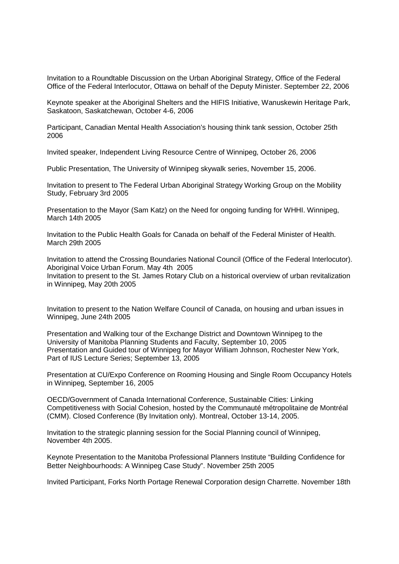Invitation to a Roundtable Discussion on the Urban Aboriginal Strategy, Office of the Federal Office of the Federal Interlocutor, Ottawa on behalf of the Deputy Minister. September 22, 2006

Keynote speaker at the Aboriginal Shelters and the HIFIS Initiative, Wanuskewin Heritage Park, Saskatoon, Saskatchewan, October 4-6, 2006

Participant, Canadian Mental Health Association's housing think tank session, October 25th 2006

Invited speaker, Independent Living Resource Centre of Winnipeg, October 26, 2006

Public Presentation, The University of Winnipeg skywalk series, November 15, 2006.

Invitation to present to The Federal Urban Aboriginal Strategy Working Group on the Mobility Study, February 3rd 2005

Presentation to the Mayor (Sam Katz) on the Need for ongoing funding for WHHI. Winnipeg, March 14th 2005

Invitation to the Public Health Goals for Canada on behalf of the Federal Minister of Health. March 29th 2005

Invitation to attend the Crossing Boundaries National Council (Office of the Federal Interlocutor). Aboriginal Voice Urban Forum. May 4th 2005 Invitation to present to the St. James Rotary Club on a historical overview of urban revitalization in Winnipeg, May 20th 2005

Invitation to present to the Nation Welfare Council of Canada, on housing and urban issues in Winnipeg, June 24th 2005

Presentation and Walking tour of the Exchange District and Downtown Winnipeg to the University of Manitoba Planning Students and Faculty, September 10, 2005 Presentation and Guided tour of Winnipeg for Mayor William Johnson, Rochester New York, Part of IUS Lecture Series; September 13, 2005

Presentation at CU/Expo Conference on Rooming Housing and Single Room Occupancy Hotels in Winnipeg, September 16, 2005

OECD/Government of Canada International Conference, Sustainable Cities: Linking Competitiveness with Social Cohesion, hosted by the Communauté métropolitaine de Montréal (CMM). Closed Conference (By Invitation only). Montreal, October 13-14, 2005.

Invitation to the strategic planning session for the Social Planning council of Winnipeg, November 4th 2005.

Keynote Presentation to the Manitoba Professional Planners Institute "Building Confidence for Better Neighbourhoods: A Winnipeg Case Study". November 25th 2005

Invited Participant, Forks North Portage Renewal Corporation design Charrette. November 18th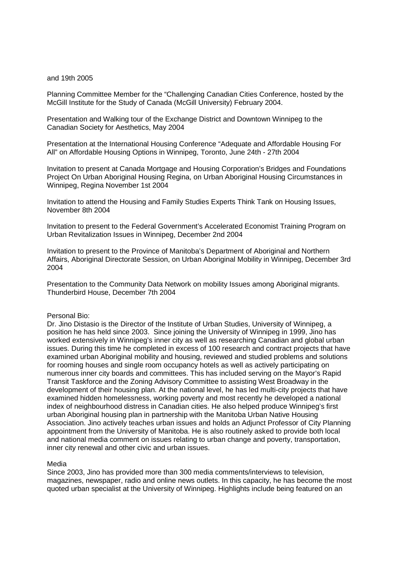#### and 19th 2005

Planning Committee Member for the "Challenging Canadian Cities Conference, hosted by the McGill Institute for the Study of Canada (McGill University) February 2004.

Presentation and Walking tour of the Exchange District and Downtown Winnipeg to the Canadian Society for Aesthetics, May 2004

Presentation at the International Housing Conference "Adequate and Affordable Housing For All" on Affordable Housing Options in Winnipeg, Toronto, June 24th - 27th 2004

Invitation to present at Canada Mortgage and Housing Corporation's Bridges and Foundations Project On Urban Aboriginal Housing Regina, on Urban Aboriginal Housing Circumstances in Winnipeg, Regina November 1st 2004

Invitation to attend the Housing and Family Studies Experts Think Tank on Housing Issues, November 8th 2004

Invitation to present to the Federal Government's Accelerated Economist Training Program on Urban Revitalization Issues in Winnipeg, December 2nd 2004

Invitation to present to the Province of Manitoba's Department of Aboriginal and Northern Affairs, Aboriginal Directorate Session, on Urban Aboriginal Mobility in Winnipeg, December 3rd 2004

Presentation to the Community Data Network on mobility Issues among Aboriginal migrants. Thunderbird House, December 7th 2004

#### Personal Bio:

Dr. Jino Distasio is the Director of the Institute of Urban Studies, University of Winnipeg, a position he has held since 2003. Since joining the University of Winnipeg in 1999, Jino has worked extensively in Winnipeg's inner city as well as researching Canadian and global urban issues. During this time he completed in excess of 100 research and contract projects that have examined urban Aboriginal mobility and housing, reviewed and studied problems and solutions for rooming houses and single room occupancy hotels as well as actively participating on numerous inner city boards and committees. This has included serving on the Mayor's Rapid Transit Taskforce and the Zoning Advisory Committee to assisting West Broadway in the development of their housing plan. At the national level, he has led multi-city projects that have examined hidden homelessness, working poverty and most recently he developed a national index of neighbourhood distress in Canadian cities. He also helped produce Winnipeg's first urban Aboriginal housing plan in partnership with the Manitoba Urban Native Housing Association. Jino actively teaches urban issues and holds an Adjunct Professor of City Planning appointment from the University of Manitoba. He is also routinely asked to provide both local and national media comment on issues relating to urban change and poverty, transportation, inner city renewal and other civic and urban issues.

#### Media

Since 2003, Jino has provided more than 300 media comments/interviews to television, magazines, newspaper, radio and online news outlets. In this capacity, he has become the most quoted urban specialist at the University of Winnipeg. Highlights include being featured on an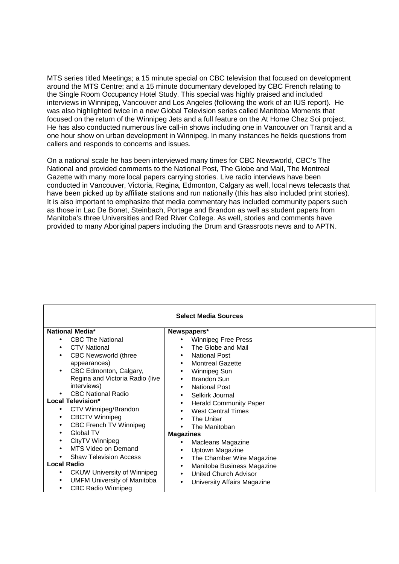MTS series titled Meetings; a 15 minute special on CBC television that focused on development around the MTS Centre; and a 15 minute documentary developed by CBC French relating to the Single Room Occupancy Hotel Study. This special was highly praised and included interviews in Winnipeg, Vancouver and Los Angeles (following the work of an IUS report). He was also highlighted twice in a new Global Television series called Manitoba Moments that focused on the return of the Winnipeg Jets and a full feature on the At Home Chez Soi project. He has also conducted numerous live call-in shows including one in Vancouver on Transit and a one hour show on urban development in Winnipeg. In many instances he fields questions from callers and responds to concerns and issues.

On a national scale he has been interviewed many times for CBC Newsworld, CBC's The National and provided comments to the National Post, The Globe and Mail, The Montreal Gazette with many more local papers carrying stories. Live radio interviews have been conducted in Vancouver, Victoria, Regina, Edmonton, Calgary as well, local news telecasts that have been picked up by affiliate stations and run nationally (this has also included print stories). It is also important to emphasize that media commentary has included community papers such as those in Lac De Bonet, Steinbach, Portage and Brandon as well as student papers from Manitoba's three Universities and Red River College. As well, stories and comments have provided to many Aboriginal papers including the Drum and Grassroots news and to APTN.

| <b>Select Media Sources</b>                     |                                            |  |
|-------------------------------------------------|--------------------------------------------|--|
|                                                 |                                            |  |
| <b>National Media*</b>                          | Newspapers*                                |  |
| <b>CBC The National</b>                         | Winnipeg Free Press                        |  |
| <b>CTV National</b><br>$\bullet$                | The Globe and Mail<br>$\bullet$            |  |
| <b>CBC Newsworld (three</b>                     | <b>National Post</b><br>٠                  |  |
| appearances)                                    | <b>Montreal Gazette</b><br>$\bullet$       |  |
| CBC Edmonton, Calgary,                          | Winnipeg Sun<br>$\bullet$                  |  |
| Regina and Victoria Radio (live                 | <b>Brandon Sun</b><br>$\bullet$            |  |
| interviews)                                     | <b>National Post</b><br>$\bullet$          |  |
| <b>CBC National Radio</b>                       | Selkirk Journal<br>$\bullet$               |  |
| Local Television*                               | <b>Herald Community Paper</b><br>$\bullet$ |  |
| CTV Winnipeg/Brandon<br>٠                       | <b>West Central Times</b><br>$\bullet$     |  |
| <b>CBCTV Winnipeg</b><br>$\bullet$              | The Uniter<br>$\bullet$                    |  |
| <b>CBC French TV Winnipeg</b>                   | The Manitoban                              |  |
| Global TV<br>$\bullet$                          | <b>Magazines</b>                           |  |
| CityTV Winnipeg<br>٠                            | Macleans Magazine                          |  |
| MTS Video on Demand                             | Uptown Magazine<br>٠                       |  |
| <b>Shaw Television Access</b>                   | The Chamber Wire Magazine<br>$\bullet$     |  |
| <b>Local Radio</b>                              | Manitoba Business Magazine<br>٠            |  |
| <b>CKUW University of Winnipeg</b><br>$\bullet$ | <b>United Church Advisor</b><br>$\bullet$  |  |
| <b>UMFM University of Manitoba</b><br>٠         | University Affairs Magazine                |  |
| <b>CBC Radio Winnipeg</b><br>٠                  |                                            |  |